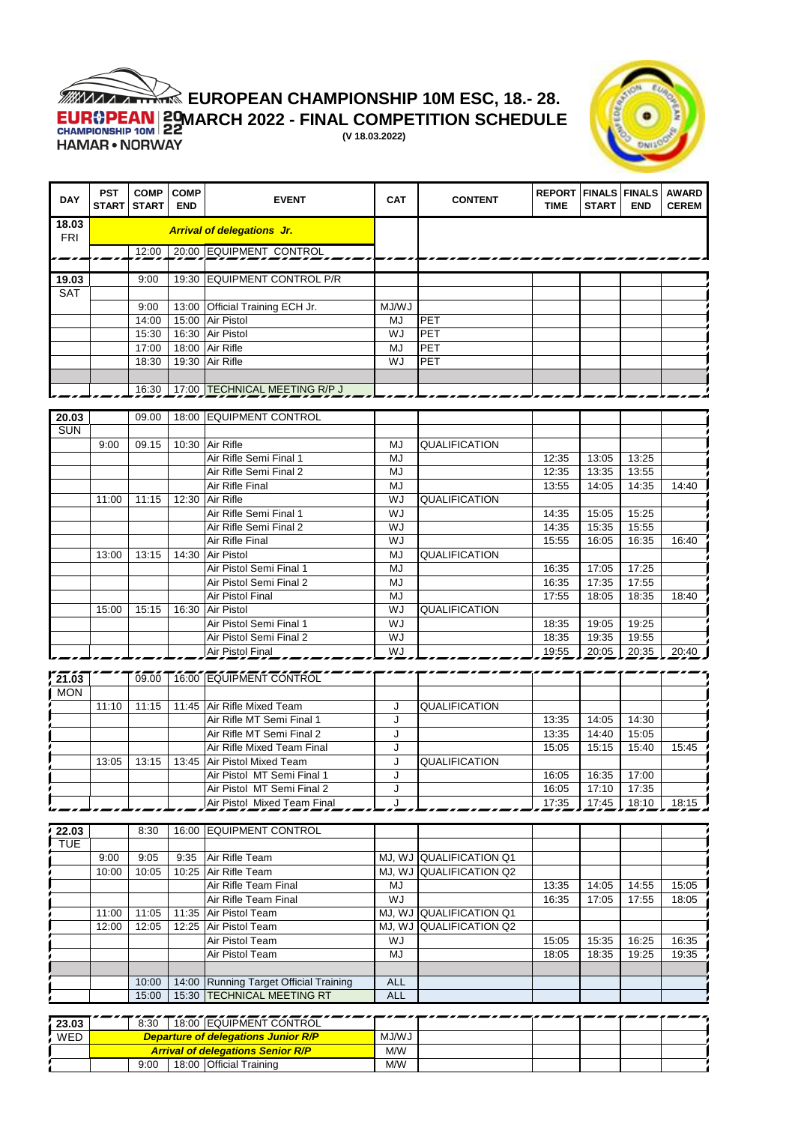

## **EUROPEAN CHAMPIONSHIP 10M ESC, 18.- 28.**

**MARCH 2022 - FINAL COMPETITION SCHEDULE** 

**(V 18.03.2022)**



| <b>DAY</b>          | <b>PST</b><br>START | <b>COMP</b><br><b>START</b> | <b>COMP</b><br><b>END</b> | <b>EVENT</b>                                            | <b>CAT</b> | <b>CONTENT</b>          | <b>REPORT   FINALS   FINALS</b><br><b>TIME</b> | <b>START</b>   | <b>END</b>     | <b>AWARD</b><br><b>CEREM</b> |
|---------------------|---------------------|-----------------------------|---------------------------|---------------------------------------------------------|------------|-------------------------|------------------------------------------------|----------------|----------------|------------------------------|
| 18.03<br><b>FRI</b> |                     |                             |                           | <b>Arrival of delegations Jr.</b>                       |            |                         |                                                |                |                |                              |
|                     |                     | 12:00                       |                           | 20:00 EQUIPMENT CONTROL                                 |            |                         |                                                |                |                |                              |
| 19.03               |                     | 9:00                        | 19:30                     | <b>EQUIPMENT CONTROL P/R</b>                            |            |                         |                                                |                |                |                              |
| <b>SAT</b>          |                     |                             |                           |                                                         |            |                         |                                                |                |                |                              |
|                     |                     | 9:00                        | 13:00                     | Official Training ECH Jr.                               | MJ/WJ      |                         |                                                |                |                |                              |
|                     |                     | 14:00                       | 15:00                     | Air Pistol                                              | MJ         | PET                     |                                                |                |                |                              |
|                     |                     | 15:30                       |                           | 16:30 Air Pistol                                        | WJ         | PET                     |                                                |                |                |                              |
|                     |                     | 17:00                       |                           | 18:00 Air Rifle                                         | <b>MJ</b>  | PET                     |                                                |                |                |                              |
|                     |                     | 18:30                       | 19:30                     | Air Rifle                                               | WJ         | PET                     |                                                |                |                |                              |
|                     |                     |                             |                           |                                                         |            |                         |                                                |                |                |                              |
|                     |                     | 16:30                       |                           | 17:00 TECHNICAL MEETING R/P J                           |            |                         |                                                |                |                |                              |
|                     |                     |                             |                           |                                                         |            |                         |                                                |                |                |                              |
| 20.03               |                     | 09.00                       |                           | 18:00 EQUIPMENT CONTROL                                 |            |                         |                                                |                |                |                              |
| <b>SUN</b>          |                     |                             |                           | Air Rifle                                               | <b>MJ</b>  |                         |                                                |                |                |                              |
|                     | 9:00                | 09.15                       | 10:30                     | Air Rifle Semi Final 1                                  | <b>MJ</b>  | QUALIFICATION           | 12:35                                          | 13:05          | 13:25          |                              |
|                     |                     |                             |                           | Air Rifle Semi Final 2                                  | MJ         |                         | 12:35                                          | 13:35          | 13:55          |                              |
|                     |                     |                             |                           | Air Rifle Final                                         | <b>MJ</b>  |                         | 13:55                                          | 14:05          | 14:35          | 14:40                        |
|                     | 11:00               | 11:15                       | 12:30                     | Air Rifle                                               | WJ         | QUALIFICATION           |                                                |                |                |                              |
|                     |                     |                             |                           | Air Rifle Semi Final 1                                  | WJ         |                         | 14:35                                          | 15:05          | 15:25          |                              |
|                     |                     |                             |                           | Air Rifle Semi Final 2                                  | WJ         |                         | 14:35                                          | 15:35          | 15:55          |                              |
|                     |                     |                             |                           | Air Rifle Final                                         | WJ         |                         | 15:55                                          | 16:05          | 16:35          | 16:40                        |
|                     | 13:00               | 13:15                       | 14:30                     | Air Pistol                                              | MJ         | QUALIFICATION           |                                                |                |                |                              |
|                     |                     |                             |                           | Air Pistol Semi Final 1                                 | MJ         |                         | 16:35                                          | 17:05          | 17:25          |                              |
|                     |                     |                             |                           | Air Pistol Semi Final 2                                 | MJ         |                         | 16:35                                          | 17:35          | 17:55          |                              |
|                     |                     |                             |                           | Air Pistol Final                                        | MJ         |                         | 17:55                                          | 18:05          | 18:35          | 18:40                        |
|                     | 15:00               | 15:15                       | 16:30                     | Air Pistol                                              | WJ         | QUALIFICATION           |                                                |                |                |                              |
|                     |                     |                             |                           | Air Pistol Semi Final 1                                 | WJ         |                         | 18:35                                          | 19:05          | 19:25          |                              |
|                     |                     |                             |                           | Air Pistol Semi Final 2                                 | WJ         |                         | 18:35                                          | 19:35          | 19:55          |                              |
|                     |                     |                             |                           | Air Pistol Final                                        | WJ         |                         | 19:55                                          | 20:05          | 20:35          | 20:40                        |
|                     |                     |                             |                           |                                                         |            |                         |                                                |                |                |                              |
| 721.03              |                     | 09.00                       |                           | 16:00 EQUIPMENT CONTROL                                 |            |                         |                                                |                |                |                              |
| <b>MON</b>          |                     |                             |                           |                                                         |            |                         |                                                |                |                |                              |
|                     | 11:10               | 11:15                       |                           | 11:45 Air Rifle Mixed Team<br>Air Rifle MT Semi Final 1 | J          | QUALIFICATION           |                                                |                |                |                              |
|                     |                     |                             |                           | Air Rifle MT Semi Final 2                               | J<br>J     |                         | 13:35<br>13:35                                 | 14:05<br>14:40 | 14:30<br>15:05 |                              |
|                     |                     |                             |                           | Air Rifle Mixed Team Final                              | J          |                         | 15:05                                          | 15:15          | 15:40          | 15:45                        |
|                     | 13:05               | 13:15                       | 13:45                     | Air Pistol Mixed Team                                   | J          | QUALIFICATION           |                                                |                |                |                              |
|                     |                     |                             |                           | Air Pistol MT Semi Final 1                              | J          |                         | 16:05                                          | 16:35          | 17:00          |                              |
|                     |                     |                             |                           | Air Pistol MT Semi Final 2                              | J          |                         | 16:05                                          | 17:10          | 17:35          |                              |
|                     |                     |                             |                           | Air Pistol Mixed Team Final                             | J          |                         | 17:35                                          | 17:45          | 18:10          | 18:15                        |
|                     |                     |                             |                           |                                                         |            |                         |                                                |                |                |                              |
| 22.03               |                     | 8:30                        |                           | 16:00 EQUIPMENT CONTROL                                 |            |                         |                                                |                |                |                              |
| <b>TUE</b>          |                     |                             |                           |                                                         |            |                         |                                                |                |                |                              |
|                     | 9:00                | 9:05                        | 9:35                      | Air Rifle Team                                          | MJ, WJ     | <b>QUALIFICATION Q1</b> |                                                |                |                |                              |
|                     | 10:00               | 10:05                       | 10:25                     | Air Rifle Team                                          |            | MJ, WJ QUALIFICATION Q2 |                                                |                |                |                              |
|                     |                     |                             |                           | Air Rifle Team Final                                    | MJ         |                         | 13:35                                          | 14:05          | 14:55          | 15:05                        |
|                     |                     |                             |                           | Air Rifle Team Final                                    | WJ         |                         | 16:35                                          | 17:05          | 17:55          | 18:05                        |
|                     | 11:00               | 11:05                       | 11:35                     | Air Pistol Team                                         | MJ, WJ     | <b>QUALIFICATION Q1</b> |                                                |                |                |                              |
|                     | 12:00               | 12:05                       | 12:25                     | Air Pistol Team                                         | MJ, WJ     | <b>QUALIFICATION Q2</b> |                                                |                |                |                              |
|                     |                     |                             |                           | Air Pistol Team                                         | WJ         |                         | 15:05                                          | 15:35          | 16:25          | 16:35                        |
|                     |                     |                             |                           | Air Pistol Team                                         | MJ         |                         | 18:05                                          | 18:35          | 19:25          | 19:35                        |
|                     |                     | 10:00                       | 14:00                     | Running Target Official Training                        | <b>ALL</b> |                         |                                                |                |                |                              |
|                     |                     | 15:00                       | 15:30                     | <b>TECHNICAL MEETING RT</b>                             | <b>ALL</b> |                         |                                                |                |                |                              |
|                     |                     |                             |                           |                                                         |            |                         |                                                |                |                |                              |
| 23.03               |                     | 8:30                        |                           | 18:00 EQUIPMENT CONTROL                                 |            |                         |                                                |                |                |                              |
|                     |                     |                             |                           |                                                         |            |                         |                                                |                |                |                              |

| 23.03 |                                            | 8:30 |  | 18:00 IEQUIPMENT CONTROL |     |  |  |  |
|-------|--------------------------------------------|------|--|--------------------------|-----|--|--|--|
| WED   | <b>Departure of delegations Junior R/P</b> |      |  |                          |     |  |  |  |
|       | <b>Arrival of delegations Senior R/P</b>   |      |  |                          |     |  |  |  |
|       |                                            | 9:00 |  | 18:00 Official Training  | M/W |  |  |  |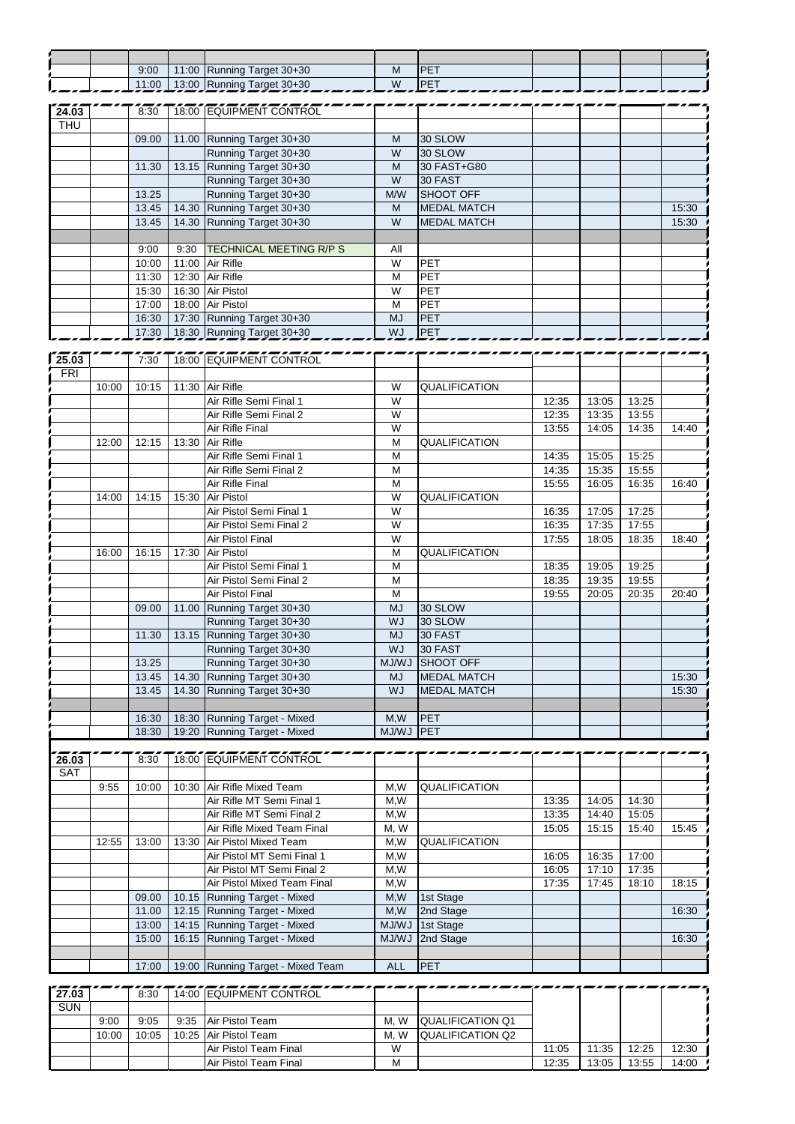|            |       | 9:00  |                | 11:00 Running Target 30+30        | M              | PET                |       |       |       |       |
|------------|-------|-------|----------------|-----------------------------------|----------------|--------------------|-------|-------|-------|-------|
|            |       | 11:00 |                | 13:00 Running Target 30+30        | $\overline{W}$ | PET                |       |       |       |       |
|            |       |       |                |                                   |                |                    |       |       |       |       |
| 24.03      |       | 8:30  |                | 18:00 EQUIPMENT CONTROL           |                |                    |       |       |       |       |
| <b>THU</b> |       |       |                |                                   |                |                    |       |       |       |       |
|            |       | 09.00 | 11.00          | Running Target 30+30              | M              | 30 SLOW            |       |       |       |       |
|            |       |       |                | Running Target 30+30              | W              | 30 SLOW            |       |       |       |       |
|            |       |       |                |                                   |                |                    |       |       |       |       |
|            |       | 11.30 |                | 13.15 Running Target 30+30        | M              | 30 FAST+G80        |       |       |       |       |
|            |       |       |                | Running Target 30+30              | W              | 30 FAST            |       |       |       |       |
|            |       | 13.25 |                | Running Target 30+30              | M/W            | SHOOT OFF          |       |       |       |       |
|            |       | 13.45 | 14.30          | Running Target 30+30              | M              | <b>MEDAL MATCH</b> |       |       |       | 15:30 |
|            |       | 13.45 | 14.30          | Running Target 30+30              | W              | <b>MEDAL MATCH</b> |       |       |       | 15:30 |
|            |       |       |                |                                   |                |                    |       |       |       |       |
|            |       | 9:00  | 9:30           | TECHNICAL MEETING R/P S           | All            |                    |       |       |       |       |
|            |       | 10:00 | 11:00          | Air Rifle                         | W              | PET                |       |       |       |       |
|            |       | 11:30 | 12:30          | Air Rifle                         | M              | PET                |       |       |       |       |
|            |       | 15:30 | 16:30          | Air Pistol                        | W              | PET                |       |       |       |       |
|            |       | 17:00 |                | 18:00 Air Pistol                  | M              | PET                |       |       |       |       |
|            |       | 16:30 |                | 17:30 Running Target 30+30        | <b>MJ</b>      | PET                |       |       |       |       |
|            |       | 17:30 |                | 18:30 Running Target 30+30        | WJ             | PET                |       |       |       |       |
|            |       |       |                |                                   |                |                    |       |       |       |       |
|            |       |       |                |                                   |                |                    |       |       |       |       |
| 125.03     |       | 7:30  |                | 18:00 EQUIPMENT CONTROL           |                |                    |       |       |       |       |
| FRI        |       |       |                |                                   |                |                    |       |       |       |       |
|            | 10:00 | 10:15 | 11:30          | Air Rifle                         | W              | QUALIFICATION      |       |       |       |       |
|            |       |       |                | Air Rifle Semi Final 1            | W              |                    | 12:35 | 13:05 | 13:25 |       |
|            |       |       |                | Air Rifle Semi Final 2            | W              |                    | 12:35 | 13:35 | 13:55 |       |
|            |       |       |                | Air Rifle Final                   | W              |                    | 13:55 | 14:05 | 14:35 | 14:40 |
|            | 12:00 | 12:15 | 13:30          | Air Rifle                         | M              | QUALIFICATION      |       |       |       |       |
|            |       |       |                | Air Rifle Semi Final 1            | M              |                    | 14:35 | 15:05 | 15:25 |       |
|            |       |       |                | Air Rifle Semi Final 2            | M              |                    | 14:35 | 15:35 | 15:55 |       |
|            |       |       |                | Air Rifle Final                   | M              |                    | 15:55 | 16:05 | 16:35 | 16:40 |
|            | 14:00 | 14:15 | 15:30          | Air Pistol                        | W              | QUALIFICATION      |       |       |       |       |
|            |       |       |                | Air Pistol Semi Final 1           | W              |                    | 16:35 | 17:05 | 17:25 |       |
|            |       |       |                | Air Pistol Semi Final 2           | W              |                    |       |       | 17:55 |       |
|            |       |       |                |                                   |                |                    | 16:35 | 17:35 |       |       |
|            |       |       |                | <b>Air Pistol Final</b>           | W              |                    | 17:55 | 18:05 | 18:35 | 18:40 |
|            | 16:00 | 16:15 | 17:30          | Air Pistol                        | M              | QUALIFICATION      |       |       |       |       |
|            |       |       |                | Air Pistol Semi Final 1           | M              |                    | 18:35 | 19:05 | 19:25 |       |
|            |       |       |                | Air Pistol Semi Final 2           | M              |                    | 18:35 | 19:35 | 19:55 |       |
|            |       |       |                | <b>Air Pistol Final</b>           | M              |                    | 19:55 | 20:05 | 20:35 | 20:40 |
|            |       | 09.00 | 11.00          | Running Target 30+30              | <b>MJ</b>      | 30 SLOW            |       |       |       |       |
|            |       |       |                | Running Target 30+30              | WJ             | 30 SLOW            |       |       |       |       |
|            |       | 11.30 |                | 13.15 Running Target 30+30        | <b>MJ</b>      | 30 FAST            |       |       |       |       |
|            |       |       |                | Running Target 30+30              | WJ             | 30 FAST            |       |       |       |       |
|            |       | 13.25 |                | Running Target 30+30              | MJ/WJ          | SHOOT OFF          |       |       |       |       |
|            |       | 13.45 | 14.30          | Running Target 30+30              | <b>MJ</b>      | <b>MEDAL MATCH</b> |       |       |       | 15:30 |
|            |       | 13.45 | 14.30          | Running Target 30+30              | <b>WJ</b>      | <b>MEDAL MATCH</b> |       |       |       | 15:30 |
|            |       |       |                |                                   |                |                    |       |       |       |       |
|            |       |       |                | Running Target - Mixed            |                |                    |       |       |       |       |
|            |       | 16:30 | 18:30<br>19:20 | Running Target - Mixed            | M,W<br>LW/LM   | PET<br>PET         |       |       |       |       |
|            |       | 18:30 |                |                                   |                |                    |       |       |       |       |
|            |       |       |                |                                   |                |                    |       |       |       |       |
| 26.03      |       | 8:30  |                | 18:00 EQUIPMENT CONTROL           |                |                    |       |       |       |       |
| SAT        |       |       |                |                                   |                |                    |       |       |       |       |
|            | 9:55  | 10:00 | 10:30          | Air Rifle Mixed Team              | M,W            | QUALIFICATION      |       |       |       |       |
|            |       |       |                | Air Rifle MT Semi Final 1         | M,W            |                    | 13:35 | 14:05 | 14:30 |       |
|            |       |       |                | Air Rifle MT Semi Final 2         | M,W            |                    | 13:35 | 14:40 | 15:05 |       |
|            |       |       |                | Air Rifle Mixed Team Final        | M, W           |                    | 15:05 | 15:15 | 15:40 | 15:45 |
|            | 12:55 | 13:00 | 13:30          | Air Pistol Mixed Team             | M,W            | QUALIFICATION      |       |       |       |       |
|            |       |       |                | Air Pistol MT Semi Final 1        | M,W            |                    | 16:05 | 16:35 | 17:00 |       |
|            |       |       |                | Air Pistol MT Semi Final 2        | M,W            |                    | 16:05 | 17:10 | 17:35 |       |
|            |       |       |                | Air Pistol Mixed Team Final       | M,W            |                    | 17:35 | 17:45 | 18:10 | 18:15 |
|            |       | 09.00 | 10.15          | Running Target - Mixed            | M,W            | 1st Stage          |       |       |       |       |
|            |       | 11.00 |                | 12.15 Running Target - Mixed      | M,W            | 2nd Stage          |       |       |       | 16:30 |
|            |       |       |                | <b>Running Target - Mixed</b>     |                |                    |       |       |       |       |
|            |       | 13:00 | 14:15          |                                   | <b>MJ/WJ</b>   | 1st Stage          |       |       |       |       |
|            |       | 15:00 | 16:15          | Running Target - Mixed            | MJ/WJ          | 2nd Stage          |       |       |       | 16:30 |
|            |       |       |                |                                   |                |                    |       |       |       |       |
|            |       | 17:00 |                | 19:00 Running Target - Mixed Team | <b>ALL</b>     | PET                |       |       |       |       |
|            |       |       |                |                                   |                |                    |       |       |       |       |
| 27.03      |       | 8:30  |                | 14:00 EQUIPMENT CONTROL           |                |                    |       |       |       |       |
| <b>SUN</b> |       |       |                |                                   |                |                    |       |       |       |       |

| SUN |       |           |                       |         |                          |       |       |       |       |
|-----|-------|-----------|-----------------------|---------|--------------------------|-------|-------|-------|-------|
|     | 9:00  | 9:05      | 9:35 Air Pistol Team  | M. W    | <b>QUALIFICATION Q1</b>  |       |       |       |       |
|     | 10:00 | $10:05$ 1 | 10:25 Air Pistol Team | W<br>М. | <b>IQUALIFICATION Q2</b> |       |       |       |       |
|     |       |           | Air Pistol Team Final | W       |                          | 11:05 | 11:35 | 12:25 | 12:30 |
|     |       |           | Air Pistol Team Final | M       |                          | 12:35 | 13:05 | 13:55 | 14:00 |